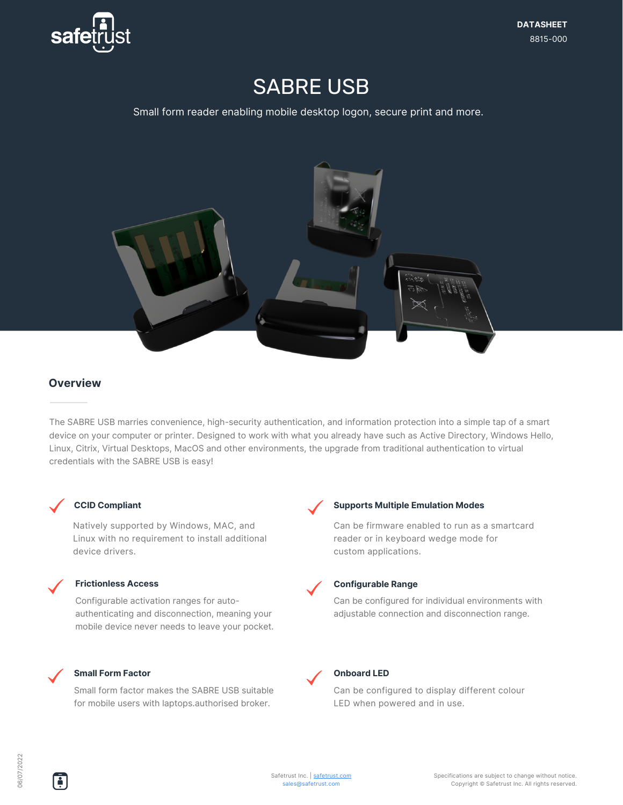

# SABRE USB

Small form reader enabling mobile desktop logon, secure print and more.



## **Overview**

The SABRE USB marries convenience, high-security authentication, and information protection into a simple tap of a smart device on your computer or printer. Designed to work with what you already have such as Active Directory, Windows Hello, Linux, Citrix, Virtual Desktops, MacOS and other environments, the upgrade from traditional authentication to virtual credentials with the SABRE USB is easy!



#### **CCID Compliant**

Natively supported by Windows, MAC, and Linux with no requirement to install additional device drivers.

#### **Frictionless Access**

Configurable activation ranges for autoauthenticating and disconnection, meaning your mobile device never needs to leave your pocket.



#### Small form factor makes the SABRE USB suitable for mobile users with laptops.authorised broker.



#### **Supports Multiple Emulation Modes**

Can be firmware enabled to run as a smartcard reader or in keyboard wedge mode for custom applications.



#### **Configurable Range**

Can be configured for individual environments with adjustable connection and disconnection range.



#### **Onboard LED**

Can be configured to display different colour LED when powered and in use.

÷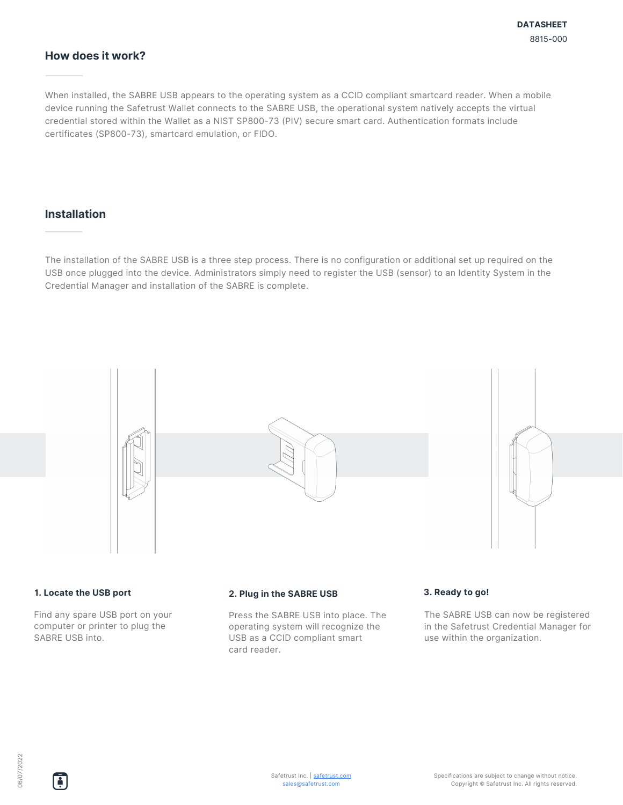## **How does it work?**

When installed, the SABRE USB appears to the operating system as a CCID compliant smartcard reader. When a mobile device running the Safetrust Wallet connects to the SABRE USB, the operational system natively accepts the virtual credential stored within the Wallet as a NIST SP800-73 (PIV) secure smart card. Authentication formats include certificates (SP800-73), smartcard emulation, or FIDO.

## **Installation**

The installation of the SABRE USB is a three step process. There is no configuration or additional set up required on the USB once plugged into the device. Administrators simply need to register the USB (sensor) to an Identity System in the Credential Manager and installation of the SABRE is complete.



Find any spare USB port on your computer or printer to plug the SABRE USB into.

Press the SABRE USB into place. The operating system will recognize the USB as a CCID compliant smart card reader.

The SABRE USB can now be registered in the Safetrust Credential Manager for use within the organization.